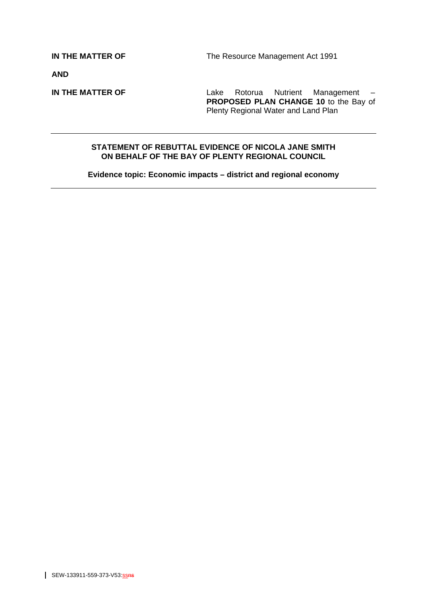**IN THE MATTER OF The Resource Management Act 1991** 

**AND** 

**IN THE MATTER OF** Lake Rotorua Nutrient Management – **PROPOSED PLAN CHANGE 10** to the Bay of Plenty Regional Water and Land Plan

### **STATEMENT OF REBUTTAL EVIDENCE OF NICOLA JANE SMITH ON BEHALF OF THE BAY OF PLENTY REGIONAL COUNCIL**

**Evidence topic: Economic impacts – district and regional economy**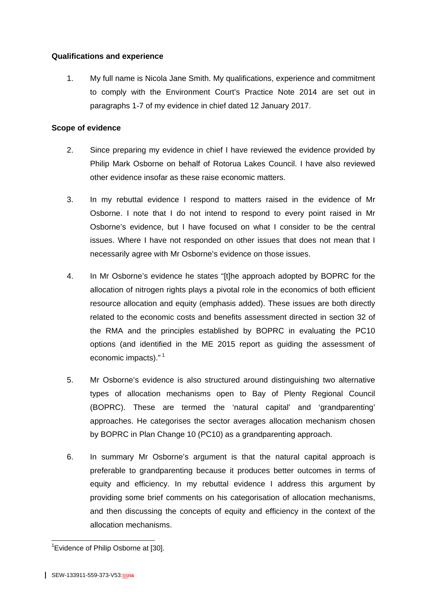# **Qualifications and experience**

1. My full name is Nicola Jane Smith. My qualifications, experience and commitment to comply with the Environment Court's Practice Note 2014 are set out in paragraphs 1-7 of my evidence in chief dated 12 January 2017.

## **Scope of evidence**

- 2. Since preparing my evidence in chief I have reviewed the evidence provided by Philip Mark Osborne on behalf of Rotorua Lakes Council. I have also reviewed other evidence insofar as these raise economic matters.
- 3. In my rebuttal evidence I respond to matters raised in the evidence of Mr Osborne. I note that I do not intend to respond to every point raised in Mr Osborne's evidence, but I have focused on what I consider to be the central issues. Where I have not responded on other issues that does not mean that I necessarily agree with Mr Osborne's evidence on those issues.
- 4. In Mr Osborne's evidence he states "[t]he approach adopted by BOPRC for the allocation of nitrogen rights plays a pivotal role in the economics of both efficient resource allocation and equity (emphasis added). These issues are both directly related to the economic costs and benefits assessment directed in section 32 of the RMA and the principles established by BOPRC in evaluating the PC10 options (and identified in the ME 2015 report as guiding the assessment of economic impacts)."<sup>1</sup>
- 5. Mr Osborne's evidence is also structured around distinguishing two alternative types of allocation mechanisms open to Bay of Plenty Regional Council (BOPRC). These are termed the 'natural capital' and 'grandparenting' approaches. He categorises the sector averages allocation mechanism chosen by BOPRC in Plan Change 10 (PC10) as a grandparenting approach.
- 6. In summary Mr Osborne's argument is that the natural capital approach is preferable to grandparenting because it produces better outcomes in terms of equity and efficiency. In my rebuttal evidence I address this argument by providing some brief comments on his categorisation of allocation mechanisms, and then discussing the concepts of equity and efficiency in the context of the allocation mechanisms.

 $\overline{a}$ <sup>1</sup> Evidence of Philip Osborne at [30].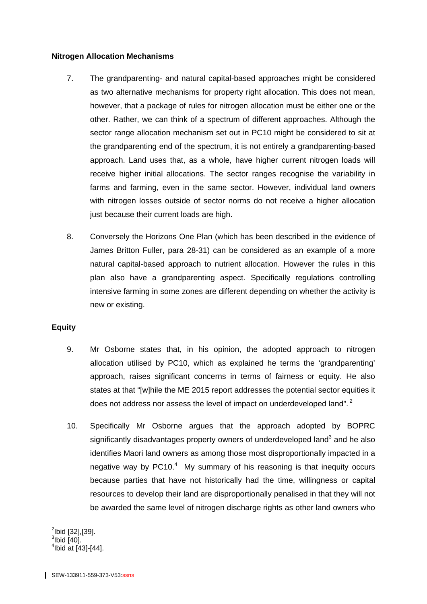### **Nitrogen Allocation Mechanisms**

- 7. The grandparenting- and natural capital-based approaches might be considered as two alternative mechanisms for property right allocation. This does not mean, however, that a package of rules for nitrogen allocation must be either one or the other. Rather, we can think of a spectrum of different approaches. Although the sector range allocation mechanism set out in PC10 might be considered to sit at the grandparenting end of the spectrum, it is not entirely a grandparenting-based approach. Land uses that, as a whole, have higher current nitrogen loads will receive higher initial allocations. The sector ranges recognise the variability in farms and farming, even in the same sector. However, individual land owners with nitrogen losses outside of sector norms do not receive a higher allocation just because their current loads are high.
- 8. Conversely the Horizons One Plan (which has been described in the evidence of James Britton Fuller, para 28-31) can be considered as an example of a more natural capital-based approach to nutrient allocation. However the rules in this plan also have a grandparenting aspect. Specifically regulations controlling intensive farming in some zones are different depending on whether the activity is new or existing.

# **Equity**

- 9. Mr Osborne states that, in his opinion, the adopted approach to nitrogen allocation utilised by PC10, which as explained he terms the 'grandparenting' approach, raises significant concerns in terms of fairness or equity. He also states at that "[w]hile the ME 2015 report addresses the potential sector equities it does not address nor assess the level of impact on underdeveloped land".<sup>2</sup>
- 10. Specifically Mr Osborne argues that the approach adopted by BOPRC significantly disadvantages property owners of underdeveloped land<sup>3</sup> and he also identifies Maori land owners as among those most disproportionally impacted in a negative way by  $PC10<sup>4</sup>$  My summary of his reasoning is that inequity occurs because parties that have not historically had the time, willingness or capital resources to develop their land are disproportionally penalised in that they will not be awarded the same level of nitrogen discharge rights as other land owners who

 2 Ibid [32],[39]. 3 Ibid [40].

 $4$ lbid at [43]-[44].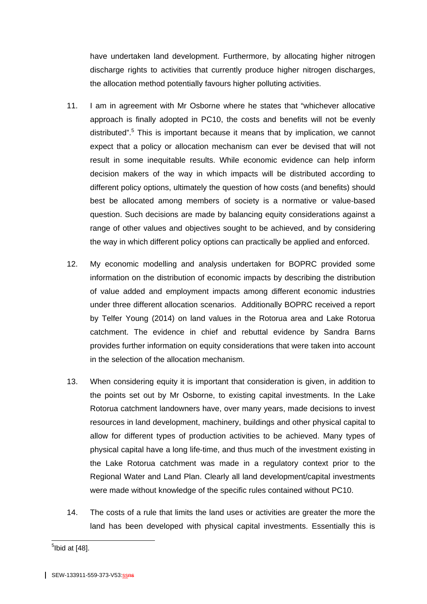have undertaken land development. Furthermore, by allocating higher nitrogen discharge rights to activities that currently produce higher nitrogen discharges, the allocation method potentially favours higher polluting activities.

- 11. I am in agreement with Mr Osborne where he states that "whichever allocative approach is finally adopted in PC10, the costs and benefits will not be evenly distributed".<sup>5</sup> This is important because it means that by implication, we cannot expect that a policy or allocation mechanism can ever be devised that will not result in some inequitable results. While economic evidence can help inform decision makers of the way in which impacts will be distributed according to different policy options, ultimately the question of how costs (and benefits) should best be allocated among members of society is a normative or value-based question. Such decisions are made by balancing equity considerations against a range of other values and objectives sought to be achieved, and by considering the way in which different policy options can practically be applied and enforced.
- 12. My economic modelling and analysis undertaken for BOPRC provided some information on the distribution of economic impacts by describing the distribution of value added and employment impacts among different economic industries under three different allocation scenarios. Additionally BOPRC received a report by Telfer Young (2014) on land values in the Rotorua area and Lake Rotorua catchment. The evidence in chief and rebuttal evidence by Sandra Barns provides further information on equity considerations that were taken into account in the selection of the allocation mechanism.
- 13. When considering equity it is important that consideration is given, in addition to the points set out by Mr Osborne, to existing capital investments. In the Lake Rotorua catchment landowners have, over many years, made decisions to invest resources in land development, machinery, buildings and other physical capital to allow for different types of production activities to be achieved. Many types of physical capital have a long life-time, and thus much of the investment existing in the Lake Rotorua catchment was made in a regulatory context prior to the Regional Water and Land Plan. Clearly all land development/capital investments were made without knowledge of the specific rules contained without PC10.
- 14. The costs of a rule that limits the land uses or activities are greater the more the land has been developed with physical capital investments. Essentially this is

 5 Ibid at [48].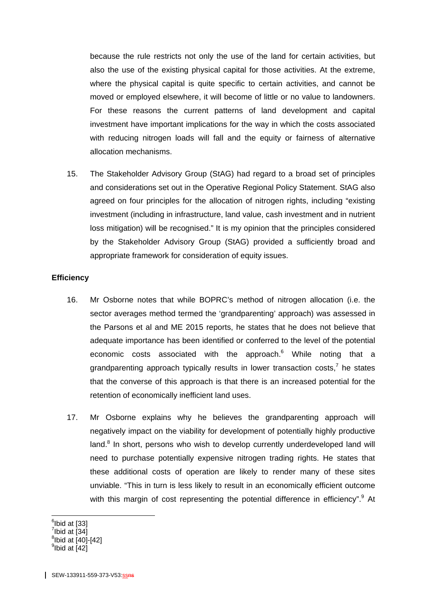because the rule restricts not only the use of the land for certain activities, but also the use of the existing physical capital for those activities. At the extreme, where the physical capital is quite specific to certain activities, and cannot be moved or employed elsewhere, it will become of little or no value to landowners. For these reasons the current patterns of land development and capital investment have important implications for the way in which the costs associated with reducing nitrogen loads will fall and the equity or fairness of alternative allocation mechanisms.

15. The Stakeholder Advisory Group (StAG) had regard to a broad set of principles and considerations set out in the Operative Regional Policy Statement. StAG also agreed on four principles for the allocation of nitrogen rights, including "existing investment (including in infrastructure, land value, cash investment and in nutrient loss mitigation) will be recognised." It is my opinion that the principles considered by the Stakeholder Advisory Group (StAG) provided a sufficiently broad and appropriate framework for consideration of equity issues.

#### **Efficiency**

- 16. Mr Osborne notes that while BOPRC's method of nitrogen allocation (i.e. the sector averages method termed the 'grandparenting' approach) was assessed in the Parsons et al and ME 2015 reports, he states that he does not believe that adequate importance has been identified or conferred to the level of the potential economic costs associated with the approach.<sup>6</sup> While noting that a grandparenting approach typically results in lower transaction costs,<sup>7</sup> he states that the converse of this approach is that there is an increased potential for the retention of economically inefficient land uses.
- 17. Mr Osborne explains why he believes the grandparenting approach will negatively impact on the viability for development of potentially highly productive land.<sup>8</sup> In short, persons who wish to develop currently underdeveloped land will need to purchase potentially expensive nitrogen trading rights. He states that these additional costs of operation are likely to render many of these sites unviable. "This in turn is less likely to result in an economically efficient outcome with this margin of cost representing the potential difference in efficiency".<sup>9</sup> At

 $\overline{a}$  $<sup>6</sup>$ Ibid at [33]</sup>  $7$ Ibid at  $\overline{[}34\overline{]}$  $^8$ lbid at  $[40]$ - $[42]$  $^9$ lbid at  $\overline{[42]}$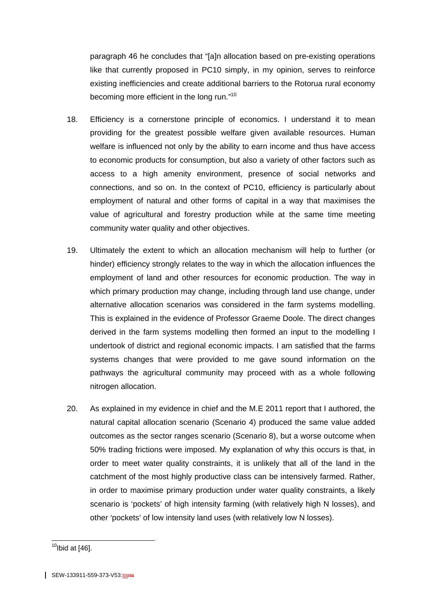paragraph 46 he concludes that "[a]n allocation based on pre-existing operations like that currently proposed in PC10 simply, in my opinion, serves to reinforce existing inefficiencies and create additional barriers to the Rotorua rural economy becoming more efficient in the long run."<sup>10</sup>

- 18. Efficiency is a cornerstone principle of economics. I understand it to mean providing for the greatest possible welfare given available resources. Human welfare is influenced not only by the ability to earn income and thus have access to economic products for consumption, but also a variety of other factors such as access to a high amenity environment, presence of social networks and connections, and so on. In the context of PC10, efficiency is particularly about employment of natural and other forms of capital in a way that maximises the value of agricultural and forestry production while at the same time meeting community water quality and other objectives.
- 19. Ultimately the extent to which an allocation mechanism will help to further (or hinder) efficiency strongly relates to the way in which the allocation influences the employment of land and other resources for economic production. The way in which primary production may change, including through land use change, under alternative allocation scenarios was considered in the farm systems modelling. This is explained in the evidence of Professor Graeme Doole. The direct changes derived in the farm systems modelling then formed an input to the modelling I undertook of district and regional economic impacts. I am satisfied that the farms systems changes that were provided to me gave sound information on the pathways the agricultural community may proceed with as a whole following nitrogen allocation.
- 20. As explained in my evidence in chief and the M.E 2011 report that I authored, the natural capital allocation scenario (Scenario 4) produced the same value added outcomes as the sector ranges scenario (Scenario 8), but a worse outcome when 50% trading frictions were imposed. My explanation of why this occurs is that, in order to meet water quality constraints, it is unlikely that all of the land in the catchment of the most highly productive class can be intensively farmed. Rather, in order to maximise primary production under water quality constraints, a likely scenario is 'pockets' of high intensity farming (with relatively high N losses), and other 'pockets' of low intensity land uses (with relatively low N losses).

 $\overline{a}$ 

 $10$ Ibid at [46].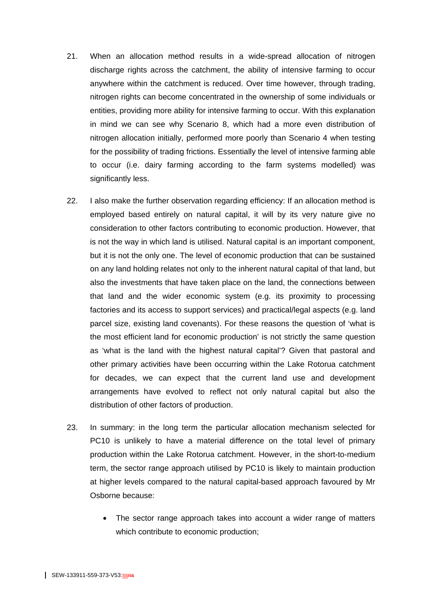- 21. When an allocation method results in a wide-spread allocation of nitrogen discharge rights across the catchment, the ability of intensive farming to occur anywhere within the catchment is reduced. Over time however, through trading, nitrogen rights can become concentrated in the ownership of some individuals or entities, providing more ability for intensive farming to occur. With this explanation in mind we can see why Scenario 8, which had a more even distribution of nitrogen allocation initially, performed more poorly than Scenario 4 when testing for the possibility of trading frictions. Essentially the level of intensive farming able to occur (i.e. dairy farming according to the farm systems modelled) was significantly less.
- 22. I also make the further observation regarding efficiency: If an allocation method is employed based entirely on natural capital, it will by its very nature give no consideration to other factors contributing to economic production. However, that is not the way in which land is utilised. Natural capital is an important component, but it is not the only one. The level of economic production that can be sustained on any land holding relates not only to the inherent natural capital of that land, but also the investments that have taken place on the land, the connections between that land and the wider economic system (e.g. its proximity to processing factories and its access to support services) and practical/legal aspects (e.g. land parcel size, existing land covenants). For these reasons the question of 'what is the most efficient land for economic production' is not strictly the same question as 'what is the land with the highest natural capital'? Given that pastoral and other primary activities have been occurring within the Lake Rotorua catchment for decades, we can expect that the current land use and development arrangements have evolved to reflect not only natural capital but also the distribution of other factors of production.
- 23. In summary: in the long term the particular allocation mechanism selected for PC10 is unlikely to have a material difference on the total level of primary production within the Lake Rotorua catchment. However, in the short-to-medium term, the sector range approach utilised by PC10 is likely to maintain production at higher levels compared to the natural capital-based approach favoured by Mr Osborne because:
	- The sector range approach takes into account a wider range of matters which contribute to economic production;